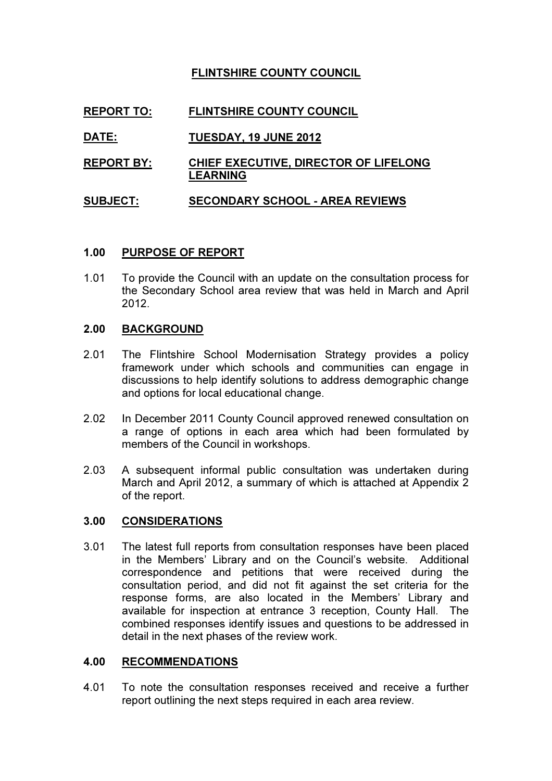# FLINTSHIRE COUNTY COUNCIL

# REPORT TO: FLINTSHIRE COUNTY COUNCIL

## DATE: TUESDAY, 19 JUNE 2012

REPORT BY: CHIEF EXECUTIVE, DIRECTOR OF LIFELONG LEARNING

## SUBJECT: SECONDARY SCHOOL - AREA REVIEWS

## 1.00 PURPOSE OF REPORT

1.01 To provide the Council with an update on the consultation process for the Secondary School area review that was held in March and April 2012.

#### 2.00 BACKGROUND

- 2.01 The Flintshire School Modernisation Strategy provides a policy framework under which schools and communities can engage in discussions to help identify solutions to address demographic change and options for local educational change.
- 2.02 In December 2011 County Council approved renewed consultation on a range of options in each area which had been formulated by members of the Council in workshops.
- 2.03 A subsequent informal public consultation was undertaken during March and April 2012, a summary of which is attached at Appendix 2 of the report.

#### 3.00 CONSIDERATIONS

3.01 The latest full reports from consultation responses have been placed in the Members' Library and on the Council's website. Additional correspondence and petitions that were received during the consultation period, and did not fit against the set criteria for the response forms, are also located in the Members' Library and available for inspection at entrance 3 reception, County Hall. The combined responses identify issues and questions to be addressed in detail in the next phases of the review work.

#### 4.00 RECOMMENDATIONS

4.01 To note the consultation responses received and receive a further report outlining the next steps required in each area review.